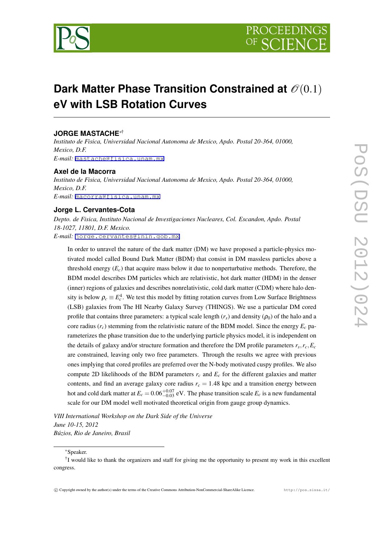

# **Dark Matter Phase Transition Constrained at**  $\mathcal{O}(0.1)$ **eV with LSB Rotation Curves**

# **JORGE MASTACHE***∗*†

*Instituto de Fisica, Universidad Nacional Autonoma de Mexico, Apdo. Postal 20-364, 01000, Mexico, D.F. E-mail:* [mastache@fisica.unam.mx](mailto:mastache@fisica.unam.mx)

#### **Axel de la Macorra**

*Instituto de Fisica, Universidad Nacional Autonoma de Mexico, Apdo. Postal 20-364, 01000, Mexico, D.F. E-mail:* [macorra@fisica.unam.mx](mailto:macorra@fisica.unam.mx)

# **Jorge L. Cervantes-Cota**

*Depto. de Fisica, Instituto Nacional de Investigaciones Nucleares, Col. Escandon, Apdo. Postal 18-1027, 11801, D.F. Mexico. E-mail:* [jorge.cervantes@inin.gob.mx](mailto:jorge.cervantes@inin.gob.mx)

In order to unravel the nature of the dark matter (DM) we have proposed a particle-physics motivated model called Bound Dark Matter (BDM) that consist in DM massless particles above a threshold energy  $(E_c)$  that acquire mass below it due to nonperturbative methods. Therefore, the BDM model describes DM particles which are relativistic, hot dark matter (HDM) in the denser (inner) regions of galaxies and describes nonrelativistic, cold dark matter (CDM) where halo density is below  $\rho_c \equiv E_c^4$ . We test this model by fitting rotation curves from Low Surface Brightness (LSB) galaxies from The HI Nearby Galaxy Survey (THINGS). We use a particular DM cored profile that contains three parameters: a typical scale length  $(r_s)$  and density  $(\rho_0)$  of the halo and a core radius  $(r_c)$  stemming from the relativistic nature of the BDM model. Since the energy  $E_c$  parameterizes the phase transition due to the underlying particle physics model, it is independent on the details of galaxy and/or structure formation and therefore the DM profile parameters *r<sup>s</sup> ,rc,E<sup>c</sup>* are constrained, leaving only two free parameters. Through the results we agree with previous ones implying that cored profiles are preferred over the N-body motivated cuspy profiles. We also compute 2D likelihoods of the BDM parameters *r<sup>c</sup>* and *E<sup>c</sup>* for the different galaxies and matter contents, and find an average galaxy core radius  $r_c = 1.48$  kpc and a transition energy between hot and cold dark matter at  $E_c = 0.06_{-0.03}^{+0.07}$  eV. The phase transition scale  $E_c$  is a new fundamental scale for our DM model well motivated theoretical origin from gauge group dynamics.

*VIII International Workshop on the Dark Side of the Universe June 10-15, 2012 Búzios, Rio de Janeiro, Brasil*

*∗*Speaker.

<sup>&</sup>lt;sup>†</sup>I would like to thank the organizers and staff for giving me the opportunity to present my work in this excellent congress.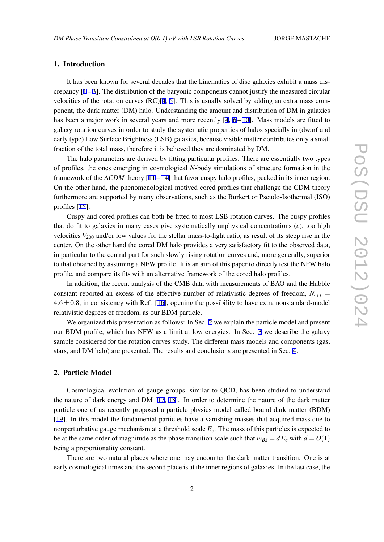## 1. Introduction

It has been known for several decades that the kinematics of disc galaxies exhibit a mass discrepancy  $[1 - 3]$  $[1 - 3]$  $[1 - 3]$  $[1 - 3]$ . The distribution of the baryonic components cannot justify the measured circular velocities of the rotation curves  $(RC)[4, 5]$  $(RC)[4, 5]$  $(RC)[4, 5]$  $(RC)[4, 5]$  $(RC)[4, 5]$ . This is usually solved by adding an extra mass component, the dark matter (DM) halo. Understanding the amount and distribution of DM in galaxies has been a major work in several years and more recently  $[4, 6 - 10]$  $[4, 6 - 10]$  $[4, 6 - 10]$  $[4, 6 - 10]$  $[4, 6 - 10]$ . Mass models are fitted to galaxy rotation curves in order to study the systematic properties of halos specially in (dwarf and early type) Low Surface Brightness (LSB) galaxies, because visible matter contributes only a small fraction of the total mass, therefore it is believed they are dominated by DM.

The halo parameters are derived by fitting particular profiles. There are essentially two types of profiles, the ones emerging in cosmological *N*-body simulations of structure formation in the framework of the Λ*CDM* theory [[11](#page-5-0) – [14\]](#page-5-0) that favor cuspy halo profiles, peaked in its inner region. On the other hand, the phenomenological motived cored profiles that challenge the CDM theory furthermore are supported by many observations, such as the Burkert or Pseudo-Isothermal (ISO) profiles [\[15](#page-5-0)].

Cuspy and cored profiles can both be fitted to most LSB rotation curves. The cuspy profiles that do fit to galaxies in many cases give systematically unphysical concentrations (*c*), too high velocities  $V_{200}$  and/or low values for the stellar mass-to-light ratio, as result of its steep rise in the center. On the other hand the cored DM halo provides a very satisfactory fit to the observed data, in particular to the central part for such slowly rising rotation curves and, more generally, superior to that obtained by assuming a NFW profile. It is an aim of this paper to directly test the NFW halo profile, and compare its fits with an alternative framework of the cored halo profiles.

In addition, the recent analysis of the CMB data with measurements of BAO and the Hubble constant reported an excess of the effective number of relativistic degrees of freedom,  $N_{eff}$  = 4*.*6*±*0*.*8, in consistency with Ref. [[16\]](#page-5-0), opening the possibility to have extra nonstandard-model relativistic degrees of freedom, as our BDM particle.

We organized this presentation as follows: In Sec. 2 we explain the particle model and present our BDM profile, which has NFW as a limit at low energies. In Sec. [3](#page-2-0) we describe the galaxy sample considered for the rotation curves study. The different mass models and components (gas, stars, and DM halo) are presented. The results and conclusions are presented in Sec. [4](#page-3-0).

#### 2. Particle Model

Cosmological evolution of gauge groups, similar to QCD, has been studied to understand the nature of dark energy and DM [\[17](#page-5-0), [18](#page-5-0)]. In order to determine the nature of the dark matter particle one of us recently proposed a particle physics model called bound dark matter (BDM) [[19\]](#page-5-0). In this model the fundamental particles have a vanishing masses that acquired mass due to nonperturbative gauge mechanism at a threshold scale *Ec*. The mass of this particles is expected to be at the same order of magnitude as the phase transition scale such that  $m_{BS} = dE_c$  with  $d = O(1)$ being a proportionality constant.

There are two natural places where one may encounter the dark matter transition. One is at early cosmological times and the second place is at the inner regions of galaxies. In the last case, the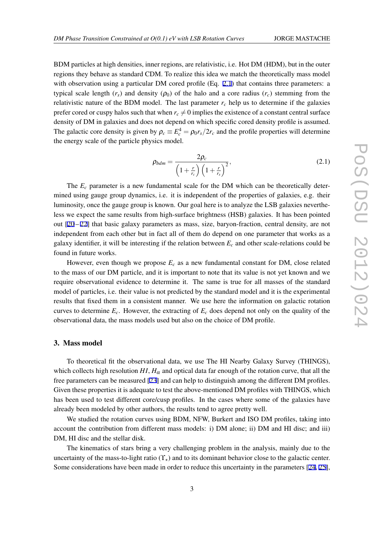<span id="page-2-0"></span>BDM particles at high densities, inner regions, are relativistic, i.e. Hot DM (HDM), but in the outer regions they behave as standard CDM. To realize this idea we match the theoretically mass model with observation using a particular DM cored profile (Eq. 2.1) that contains three parameters: a typical scale length  $(r<sub>s</sub>)$  and density  $(\rho_0)$  of the halo and a core radius  $(r<sub>c</sub>)$  stemming from the relativistic nature of the BDM model. The last parameter  $r_c$  help us to determine if the galaxies prefer cored or cuspy halos such that when  $r_c \neq 0$  implies the existence of a constant central surface density of DM in galaxies and does not depend on which specific cored density profile is assumed. The galactic core density is given by  $\rho_c \equiv E_c^4 = \rho_0 r_s / 2r_c$  and the profile properties will determine the energy scale of the particle physics model.

$$
\rho_{bdm} = \frac{2\rho_c}{\left(1 + \frac{r}{r_c}\right)\left(1 + \frac{r}{r_s}\right)^2},\tag{2.1}
$$

The *E<sup>c</sup>* parameter is a new fundamental scale for the DM which can be theoretically determined using gauge group dynamics, i.e. it is independent of the properties of galaxies, e.g. their luminosity, once the gauge group is known. Our goal here is to analyze the LSB galaxies nevertheless we expect the same results from high-surface brightness (HSB) galaxies. It has been pointed out [\[20](#page-5-0) – [22](#page-5-0)] that basic galaxy parameters as mass, size, baryon-fraction, central density, are not independent from each other but in fact all of them do depend on one parameter that works as a galaxy identifier, it will be interesting if the relation between  $E_c$  and other scale-relations could be found in future works.

However, even though we propose *E<sup>c</sup>* as a new fundamental constant for DM, close related to the mass of our DM particle, and it is important to note that its value is not yet known and we require observational evidence to determine it. The same is true for all masses of the standard model of particles, i.e. their value is not predicted by the standard model and it is the experimental results that fixed them in a consistent manner. We use here the information on galactic rotation curves to determine  $E_c$ . However, the extracting of  $E_c$  does depend not only on the quality of the observational data, the mass models used but also on the choice of DM profile.

#### 3. Mass model

To theoretical fit the observational data, we use The HI Nearby Galaxy Survey (THINGS), which collects high resolution  $HI$ ,  $H_\alpha$  and optical data far enough of the rotation curve, that all the free parameters can be measured [\[23\]](#page-5-0) and can help to distinguish among the different DM profiles. Given these properties it is adequate to test the above-mentioned DM profiles with THINGS, which has been used to test different core/cusp profiles. In the cases where some of the galaxies have already been modeled by other authors, the results tend to agree pretty well.

We studied the rotation curves using BDM, NFW, Burkert and ISO DM profiles, taking into account the contribution from different mass models: i) DM alone; ii) DM and HI disc; and iii) DM, HI disc and the stellar disk.

The kinematics of stars bring a very challenging problem in the analysis, mainly due to the uncertainty of the mass-to-light ratio (ϒ*⋆*) and to its dominant behavior close to the galactic center. Some considerations have been made in order to reduce this uncertainty in the parameters [\[24](#page-5-0), [25\]](#page-5-0),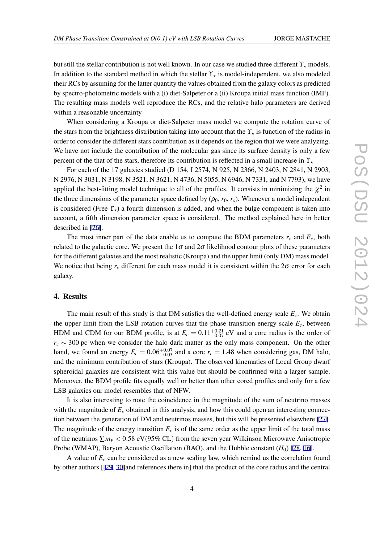<span id="page-3-0"></span>but still the stellar contribution is not well known. In our case we studied three different ϒ*<sup>⋆</sup>* models. In addition to the standard method in which the stellar ϒ*<sup>⋆</sup>* is model-independent, we also modeled their RCs by assuming for the latter quantity the values obtained from the galaxy colors as predicted by spectro-photometric models with a (i) diet-Salpeter or a (ii) Kroupa initial mass function (IMF). The resulting mass models well reproduce the RCs, and the relative halo parameters are derived within a reasonable uncertainty

When considering a Kroupa or diet-Salpeter mass model we compute the rotation curve of the stars from the brightness distribution taking into account that the ϒ*<sup>⋆</sup>* is function of the radius in order to consider the different stars contribution as it depends on the region that we were analyzing. We have not include the contribution of the molecular gas since its surface density is only a few percent of the that of the stars, therefore its contribution is reflected in a small increase in ϒ*<sup>⋆</sup>*

For each of the 17 galaxies studied (D 154, I 2574, N 925, N 2366, N 2403, N 2841, N 2903, N 2976, N 3031, N 3198, N 3521, N 3621, N 4736, N 5055, N 6946, N 7331, and N 7793), we have applied the best-fitting model technique to all of the profiles. It consists in minimizing the  $\chi^2$  in the three dimensions of the parameter space defined by  $(\rho_0, r_0, r_s)$ . Whenever a model independent is considered (Free  $\Upsilon_{\star}$ ) a fourth dimension is added, and when the bulge component is taken into account, a fifth dimension parameter space is considered. The method explained here in better described in [[26\]](#page-5-0).

The most inner part of the data enable us to compute the BDM parameters  $r_c$  and  $E_c$ , both related to the galactic core. We present the  $1\sigma$  and  $2\sigma$  likelihood contour plots of these parameters for the different galaxies and the most realistic (Kroupa) and the upper limit (only DM) mass model. We notice that being  $r_c$  different for each mass model it is consistent within the  $2\sigma$  error for each galaxy.

#### 4. Results

The main result of this study is that DM satisfies the well-defined energy scale  $E_c$ . We obtain the upper limit from the LSB rotation curves that the phase transition energy scale *Ec*, between HDM and CDM for our BDM profile, is at  $E_c = 0.11^{+0.21}_{-0.07}$  eV and a core radius is the order of  $r_c \sim 300$  pc when we consider the halo dark matter as the only mass component. On the other hand, we found an energy  $E_c = 0.06_{-0.03}^{+0.07}$  and a core  $r_c = 1.48$  when considering gas, DM halo, and the minimum contribution of stars (Kroupa). The observed kinematics of Local Group dwarf spheroidal galaxies are consistent with this value but should be confirmed with a larger sample. Moreover, the BDM profile fits equally well or better than other cored profiles and only for a few LSB galaxies our model resembles that of NFW.

It is also interesting to note the coincidence in the magnitude of the sum of neutrino masses with the magnitude of  $E_c$  obtained in this analysis, and how this could open an interesting connection between the generation of DM and neutrinos masses, but this will be presented elsewhere [[27\]](#page-5-0). The magnitude of the energy transition  $E_c$  is of the same order as the upper limit of the total mass of the neutrinos  $\sum m_V < 0.58$  eV(95% CL) from the seven year Wilkinson Microwave Anisotropic Probe (WMAP), Baryon Acoustic Oscillation (BAO), and the Hubble constant (*H*0) [\[28,](#page-5-0) [16](#page-5-0)].

A value of  $E_c$  can be considered as a new scaling law, which remind us the correlation found by other authors [[[29,](#page-5-0) [30\]](#page-5-0)and references there in] that the product of the core radius and the central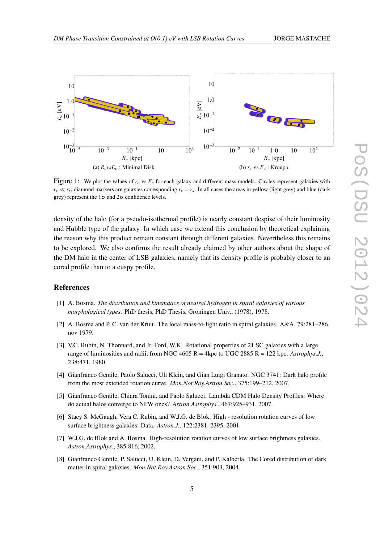

<span id="page-4-0"></span>

Figure 1: We plot the values of  $r_c$  vs  $E_c$  for each galaxy and different mass models. Circles represent galaxies with  $r_c \ll r_s$ , diamond markers are galaxies corresponding  $r_c = r_s$ . In all cases the areas in yellow (light grey) and blue (dark grey) represent the  $1\sigma$  and  $2\sigma$  confidence levels.

density of the halo (for a pseudo-isothermal profile) is nearly constant despise of their luminosity and Hubble type of the galaxy. In which case we extend this conclusion by theoretical explaining the reason why this product remain constant through different galaxies. Nevertheless this remains to be explored. We also confirms the result already claimed by other authors about the shape of the DM halo in the center of LSB galaxies, namely that its density profile is probably closer to an cored profile than to a cuspy profile.

### References

- [1] A. Bosma. *The distribution and kinematics of neutral hydrogen in spiral galaxies of various morphological types*. PhD thesis, PhD Thesis, Groningen Univ., (1978), 1978.
- [2] A. Bosma and P. C. van der Kruit. The local mass-to-light ratio in spiral galaxies. A&A, 79:281–286, nov 1979.
- [3] V.C. Rubin, N. Thonnard, and Jr. Ford, W.K. Rotational properties of 21 SC galaxies with a large range of luminosities and radii, from NGC 4605 R = 4kpc to UGC 2885 R = 122 kpc. *Astrophys.J.*, 238:471, 1980.
- [4] Gianfranco Gentile, Paolo Salucci, Uli Klein, and Gian Luigi Granato. NGC 3741: Dark halo profile from the most extended rotation curve. *Mon.Not.Roy.Astron.Soc.*, 375:199–212, 2007.
- [5] Gianfranco Gentile, Chiara Tonini, and Paolo Salucci. Lambda CDM Halo Density Profiles: Where do actual halos converge to NFW ones? *Astron.Astrophys.*, 467:925–931, 2007.
- [6] Stacy S. McGaugh, Vera C. Rubin, and W.J.G. de Blok. High resolution rotation curves of low surface brightness galaxies: Data. *Astron.J.*, 122:2381–2395, 2001.
- [7] W.J.G. de Blok and A. Bosma. High-resolution rotation curves of low surface brightness galaxies. *Astron.Astrophys.*, 385:816, 2002.
- [8] Gianfranco Gentile, P. Salucci, U. Klein, D. Vergani, and P. Kalberla. The Cored distribution of dark matter in spiral galaxies. *Mon.Not.Roy.Astron.Soc.*, 351:903, 2004.